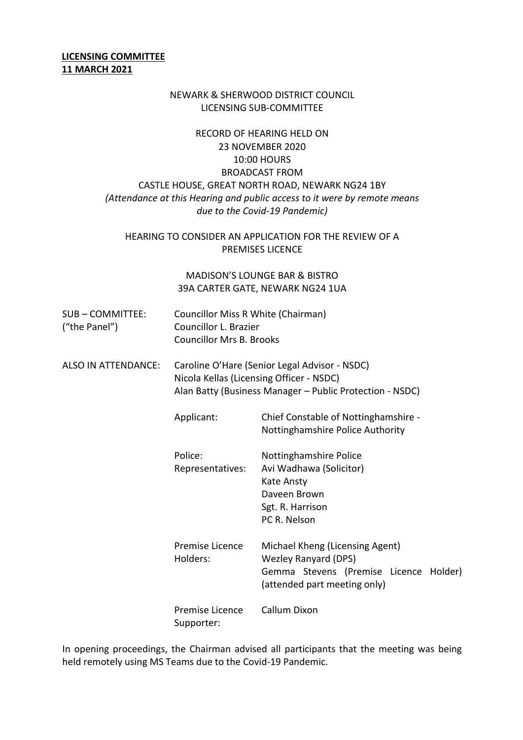#### **LICENSING COMMITTEE 11 MARCH 2021**

#### NEWARK & SHERWOOD DISTRICT COUNCIL LICENSING SUB-COMMITTEE

# RECORD OF HEARING HELD ON 23 NOVEMBER 2020 10:00 HOURS BROADCAST FROM CASTLE HOUSE, GREAT NORTH ROAD, NEWARK NG24 1BY *(Attendance at this Hearing and public access to it were by remote means due to the Covid-19 Pandemic)*

#### HEARING TO CONSIDER AN APPLICATION FOR THE REVIEW OF A PREMISES LICENCE

### MADISON'S LOUNGE BAR & BISTRO 39A CARTER GATE, NEWARK NG24 1UA

| SUB – COMMITTEE: | Councillor Miss R White (Chairman) |
|------------------|------------------------------------|
| ("the Panel")    | Councillor L. Brazier              |
|                  | <b>Councillor Mrs B. Brooks</b>    |

ALSO IN ATTENDANCE: Caroline O'Hare (Senior Legal Advisor - NSDC) Nicola Kellas (Licensing Officer - NSDC) Alan Batty (Business Manager – Public Protection - NSDC)

> Applicant: Chief Constable of Nottinghamshire - Nottinghamshire Police Authority

| Police:          | Nottinghamshire Police  |
|------------------|-------------------------|
| Representatives: | Avi Wadhawa (Solicitor) |
|                  | Kate Ansty              |
|                  | Daveen Brown            |
|                  | Sgt. R. Harrison        |
|                  | PC R. Nelson            |

| Premise Licence | Michael Kheng (Licensing Agent)                                        |  |
|-----------------|------------------------------------------------------------------------|--|
| Holders:        | <b>Wezley Ranyard (DPS)</b>                                            |  |
|                 | Gemma Stevens (Premise Licence Holder)<br>(attended part meeting only) |  |
| Premise Licence | Callum Dixon                                                           |  |

Supporter:

In opening proceedings, the Chairman advised all participants that the meeting was being held remotely using MS Teams due to the Covid-19 Pandemic.